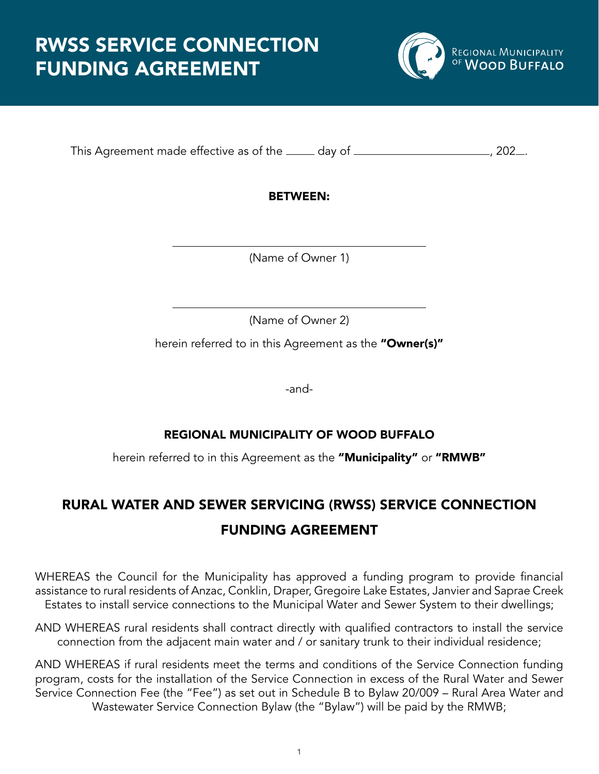

This Agreement made effective as of the  $\frac{1}{2}$  day of  $\frac{1}{2}$   $\frac{202}{2}$ .

### BETWEEN:

(Name of Owner 1)

(Name of Owner 2)

herein referred to in this Agreement as the "Owner(s)"

-and-

### REGIONAL MUNICIPALITY OF WOOD BUFFALO

herein referred to in this Agreement as the "Municipality" or "RMWB"

### RURAL WATER AND SEWER SERVICING (RWSS) SERVICE CONNECTION FUNDING AGREEMENT

WHEREAS the Council for the Municipality has approved a funding program to provide financial assistance to rural residents of Anzac, Conklin, Draper, Gregoire Lake Estates, Janvier and Saprae Creek Estates to install service connections to the Municipal Water and Sewer System to their dwellings;

AND WHEREAS rural residents shall contract directly with qualified contractors to install the service connection from the adjacent main water and / or sanitary trunk to their individual residence;

AND WHEREAS if rural residents meet the terms and conditions of the Service Connection funding program, costs for the installation of the Service Connection in excess of the Rural Water and Sewer Service Connection Fee (the "Fee") as set out in Schedule B to Bylaw 20/009 – Rural Area Water and Wastewater Service Connection Bylaw (the "Bylaw") will be paid by the RMWB;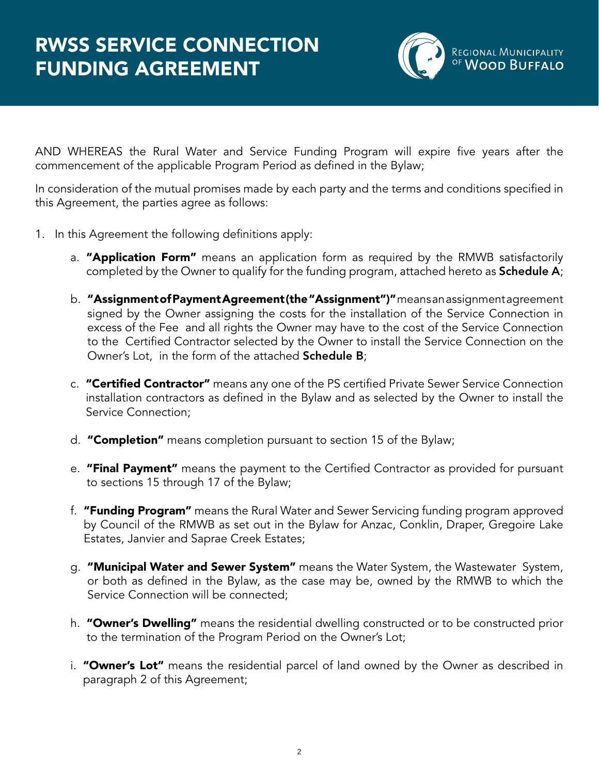

AND WHEREAS the Rural Water and Service Funding Program will expire five years after the commencement of the applicable Program Period as defined in the Bylaw;

In consideration of the mutual promises made by each party and the terms and conditions specified in this Agreement, the parties agree as follows:

- 1. In this Agreement the following definitions apply:
	- a. "Application Form" means an application form as required by the RMWB satisfactorily completed by the Owner to qualify for the funding program, attached hereto as **Schedule A**;
	- b. "Assignment of Payment Agreement (the "Assignment")" means an assignment agreement signed by the Owner assigning the costs for the installation of the Service Connection in excess of the Fee and all rights the Owner may have to the cost of the Service Connection to the Certified Contractor selected by the Owner to install the Service Connection on the Owner's Lot, in the form of the attached **Schedule B**;
	- c. "Certified Contractor" means any one of the PS certified Private Sewer Service Connection installation contractors as defined in the Bylaw and as selected by the Owner to install the Service Connection;
	- d. "Completion" means completion pursuant to section 15 of the Bylaw;
	- e. "Final Payment" means the payment to the Certified Contractor as provided for pursuant to sections 15 through 17 of the Bylaw;
	- f. "Funding Program" means the Rural Water and Sewer Servicing funding program approved by Council of the RMWB as set out in the Bylaw for Anzac, Conklin, Draper, Gregoire Lake Estates, Janvier and Saprae Creek Estates;
	- g. "Municipal Water and Sewer System" means the Water System, the Wastewater System, or both as defined in the Bylaw, as the case may be, owned by the RMWB to which the Service Connection will be connected;
	- h. "Owner's Dwelling" means the residential dwelling constructed or to be constructed prior to the termination of the Program Period on the Owner's Lot;
	- i. "Owner's Lot" means the residential parcel of land owned by the Owner as described in paragraph 2 of this Agreement;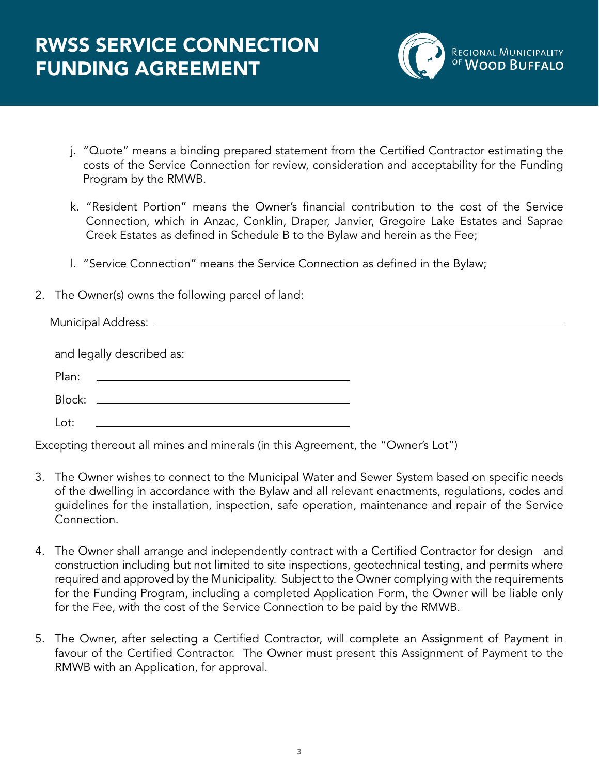

- j. "Quote" means a binding prepared statement from the Certified Contractor estimating the costs of the Service Connection for review, consideration and acceptability for the Funding Program by the RMWB.
- k. "Resident Portion" means the Owner's financial contribution to the cost of the Service Connection, which in Anzac, Conklin, Draper, Janvier, Gregoire Lake Estates and Saprae Creek Estates as defined in Schedule B to the Bylaw and herein as the Fee;
- l. "Service Connection" means the Service Connection as defined in the Bylaw;
- 2. The Owner(s) owns the following parcel of land:

| and legally described as:                                                                                                       |  |
|---------------------------------------------------------------------------------------------------------------------------------|--|
| Plan:<br><u> 1989 - Johann Stoff, deutscher Stoffen und der Stoffen und der Stoffen und der Stoffen und der Stoffen und der</u> |  |
|                                                                                                                                 |  |
| Lot:<br><u> 1980 - Jan Sterling Sterling, mars and der sterling and der sterling and der sterling and der sterling and de</u>   |  |
|                                                                                                                                 |  |

Excepting thereout all mines and minerals (in this Agreement, the "Owner's Lot")

- 3. The Owner wishes to connect to the Municipal Water and Sewer System based on specific needs of the dwelling in accordance with the Bylaw and all relevant enactments, regulations, codes and guidelines for the installation, inspection, safe operation, maintenance and repair of the Service Connection.
- 4. The Owner shall arrange and independently contract with a Certified Contractor for design and construction including but not limited to site inspections, geotechnical testing, and permits where required and approved by the Municipality. Subject to the Owner complying with the requirements for the Funding Program, including a completed Application Form, the Owner will be liable only for the Fee, with the cost of the Service Connection to be paid by the RMWB.
- 5. The Owner, after selecting a Certified Contractor, will complete an Assignment of Payment in favour of the Certified Contractor. The Owner must present this Assignment of Payment to the RMWB with an Application, for approval.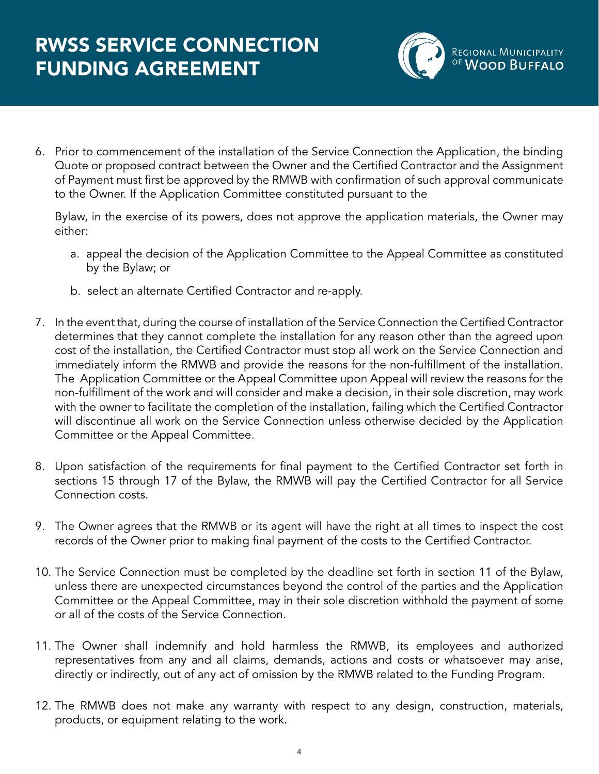# RWSS SERVICE CONNECTION FUNDING AGREEMENT



6. Prior to commencement of the installation of the Service Connection the Application, the binding Quote or proposed contract between the Owner and the Certified Contractor and the Assignment of Payment must first be approved by the RMWB with confirmation of such approval communicate to the Owner. If the Application Committee constituted pursuant to the

 Bylaw, in the exercise of its powers, does not approve the application materials, the Owner may either:

- a. appeal the decision of the Application Committee to the Appeal Committee as constituted by the Bylaw; or
- b. select an alternate Certified Contractor and re-apply.
- 7. In the event that, during the course of installation of the Service Connection the Certified Contractor determines that they cannot complete the installation for any reason other than the agreed upon cost of the installation, the Certified Contractor must stop all work on the Service Connection and immediately inform the RMWB and provide the reasons for the non-fulfillment of the installation. The Application Committee or the Appeal Committee upon Appeal will review the reasons for the non-fulfillment of the work and will consider and make a decision, in their sole discretion, may work with the owner to facilitate the completion of the installation, failing which the Certified Contractor will discontinue all work on the Service Connection unless otherwise decided by the Application Committee or the Appeal Committee.
- 8. Upon satisfaction of the requirements for final payment to the Certified Contractor set forth in sections 15 through 17 of the Bylaw, the RMWB will pay the Certified Contractor for all Service Connection costs.
- 9. The Owner agrees that the RMWB or its agent will have the right at all times to inspect the cost records of the Owner prior to making final payment of the costs to the Certified Contractor.
- 10. The Service Connection must be completed by the deadline set forth in section 11 of the Bylaw, unless there are unexpected circumstances beyond the control of the parties and the Application Committee or the Appeal Committee, may in their sole discretion withhold the payment of some or all of the costs of the Service Connection.
- 11. The Owner shall indemnify and hold harmless the RMWB, its employees and authorized representatives from any and all claims, demands, actions and costs or whatsoever may arise, directly or indirectly, out of any act of omission by the RMWB related to the Funding Program.
- 12. The RMWB does not make any warranty with respect to any design, construction, materials, products, or equipment relating to the work.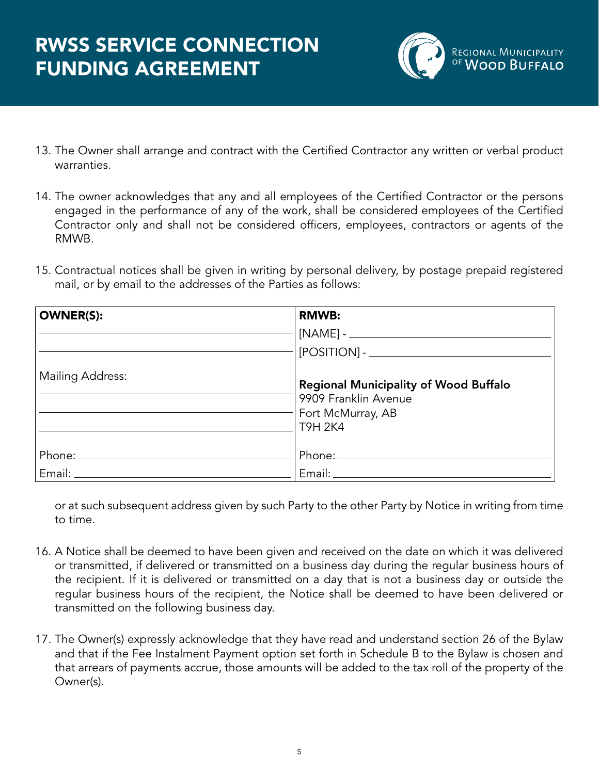

- 13. The Owner shall arrange and contract with the Certified Contractor any written or verbal product warranties.
- 14. The owner acknowledges that any and all employees of the Certified Contractor or the persons engaged in the performance of any of the work, shall be considered employees of the Certified Contractor only and shall not be considered officers, employees, contractors or agents of the RMWB.
- 15. Contractual notices shall be given in writing by personal delivery, by postage prepaid registered mail, or by email to the addresses of the Parties as follows:

| <b>OWNER(S):</b> | <b>RMWB:</b>                                                                                         |
|------------------|------------------------------------------------------------------------------------------------------|
|                  | $\begin{tabular}{ c c } \hline [NAME] - \end{tabular}$                                               |
|                  |                                                                                                      |
| Mailing Address: | Regional Municipality of Wood Buffalo<br>9909 Franklin Avenue<br>Fort McMurray, AB<br><b>T9H 2K4</b> |
|                  | Phone: $\frac{1}{\sqrt{1-\frac{1}{2}}\cdot\frac{1}{2}}$                                              |
|                  |                                                                                                      |

 or at such subsequent address given by such Party to the other Party by Notice in writing from time to time.

- 16. A Notice shall be deemed to have been given and received on the date on which it was delivered or transmitted, if delivered or transmitted on a business day during the regular business hours of the recipient. If it is delivered or transmitted on a day that is not a business day or outside the regular business hours of the recipient, the Notice shall be deemed to have been delivered or transmitted on the following business day.
- 17. The Owner(s) expressly acknowledge that they have read and understand section 26 of the Bylaw and that if the Fee Instalment Payment option set forth in Schedule B to the Bylaw is chosen and that arrears of payments accrue, those amounts will be added to the tax roll of the property of the Owner(s).